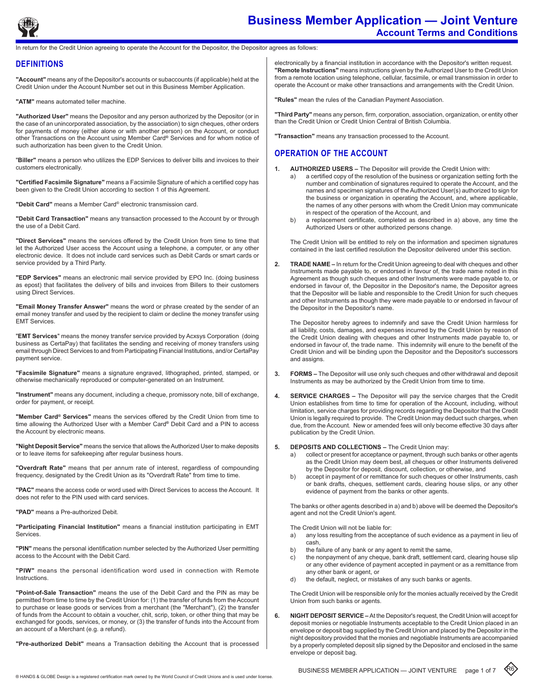

# **Business Member Application — Joint Venture Account Terms and Conditions**

return for the Credit Union agreeing to operate the Account for the Depositor, the Depositor agrees as follows:

# **DEFINITIONS**

**"Account"** means any of the Depositor's accounts or subaccounts (if applicable) held at the Credit Union under the Account Number set out in this Business Member Application.

**"ATM"** means automated teller machine.

**"Authorized User"** means the Depositor and any person authorized by the Depositor (or in the case of an unincorporated association, by the association) to sign cheques, other orders for payments of money (either alone or with another person) on the Account, or conduct other Transactions on the Account using Member Card**®** Services and for whom notice of such authorization has been given to the Credit Union.

"**Biller"** means a person who utilizes the EDP Services to deliver bills and invoices to their customers electronically.

**"Certified Facsimile Signature"** means a Facsimile Signature of which a certified copy has been given to the Credit Union according to section 1 of this Agreement.

**"Debit Card"** means a Member Card® electronic transmission card.

**"Debit Card Transaction"** means any transaction processed to the Account by or through the use of a Debit Card.

**"Direct Services"** means the services offered by the Credit Union from time to time that let the Authorized User access the Account using a telephone, a computer, or any other electronic device. It does not include card services such as Debit Cards or smart cards or service provided by a Third Party.

**"EDP Services"** means an electronic mail service provided by EPO Inc. (doing business as epost) that facilitates the delivery of bills and invoices from Billers to their customers using Direct Services.

**"Email Money Transfer Answer"** means the word or phrase created by the sender of an email money transfer and used by the recipient to claim or decline the money transfer using EMT Services.

"**EMT Services**" means the money transfer service provided by Acxsys Corporation (doing business as CertaPay) that facilitates the sending and receiving of money transfers using email through Direct Services to and from Participating Financial Institutions, and/or CertaPay payment service.

**"Facsimile Signature"** means a signature engraved, lithographed, printed, stamped, or otherwise mechanically reproduced or computer-generated on an Instrument.

**"Instrument"** means any document, including a cheque, promissory note, bill of exchange, order for payment, or receipt.

**"Member Card® Services"** means the services offered by the Credit Union from time to time allowing the Authorized User with a Member Card**®** Debit Card and a PIN to access the Account by electronic means.

**"Night Deposit Service"** means the service that allows the Authorized User to make deposits or to leave items for safekeeping after regular business hours.

**"Overdraft Rate"** means that per annum rate of interest, regardless of compounding frequency, designated by the Credit Union as its "Overdraft Rate" from time to time.

**"PAC"** means the access code or word used with Direct Services to access the Account. It does not refer to the PIN used with card services.

**"PAD"** means a Pre-authorized Debit.

**"Participating Financial Institution"** means a financial institution participating in EMT Services.

**"PIN"** means the personal identification number selected by the Authorized User permitting access to the Account with the Debit Card.

**"PIW"** means the personal identification word used in connection with Remote Instructions.

**"Point-of-Sale Transaction"** means the use of the Debit Card and the PIN as may be permitted from time to time by the Credit Union for: (1) the transfer of funds from the Account to purchase or lease goods or services from a merchant (the "Merchant"), (2) the transfer of funds from the Account to obtain a voucher, chit, scrip, token, or other thing that may be exchanged for goods, services, or money, or (3) the transfer of funds into the Account from an account of a Merchant (e.g. a refund).

**"Pre-authorized Debit"** means a Transaction debiting the Account that is processed

electronically by a financial institution in accordance with the Depositor's written request. **"Remote Instructions"** means instructions given by the Authorized User to the Credit Union from a remote location using telephone, cellular, facsimile, or email transmission in order to operate the Account or make other transactions and arrangements with the Credit Union.

**"Rules"** mean the rules of the Canadian Payment Association.

**"Third Party"** means any person, firm, corporation, association, organization, or entity other than the Credit Union or Credit Union Central of British Columbia.

**"Transaction"** means any transaction processed to the Account.

# **Operation of the account**

- **1. Authorized Users** The Depositor will provide the Credit Union with:
	- a) a certified copy of the resolution of the business or organization setting forth the number and combination of signatures required to operate the Account, and the names and specimen signatures of the Authorized User(s) authorized to sign for the business or organization in operating the Account, and, where applicable, the names of any other persons with whom the Credit Union may communicate in respect of the operation of the Account, and
	- b) a replacement certificate, completed as described in a) above, any time the Authorized Users or other authorized persons change.

The Credit Union will be entitled to rely on the information and specimen signatures contained in the last certified resolution the Depositor delivered under this section.

**2. Trade Name –** In return for the Credit Union agreeing to deal with cheques and other Instruments made payable to, or endorsed in favour of, the trade name noted in this Agreement as though such cheques and other Instruments were made payable to, or endorsed in favour of, the Depositor in the Depositor's name, the Depositor agrees that the Depositor will be liable and responsible to the Credit Union for such cheques and other Instruments as though they were made payable to or endorsed in favour of the Depositor in the Depositor's name.

The Depositor hereby agrees to indemnify and save the Credit Union harmless for all liability, costs, damages, and expenses incurred by the Credit Union by reason of the Credit Union dealing with cheques and other Instruments made payable to, or endorsed in favour of, the trade name. This indemnity will enure to the benefit of the Credit Union and will be binding upon the Depositor and the Depositor's successors and assigns.

- **3. Forms** The Depositor will use only such cheques and other withdrawal and deposit Instruments as may be authorized by the Credit Union from time to time.
- **4. Service Charges** The Depositor will pay the service charges that the Credit Union establishes from time to time for operation of the Account, including, without limitation, service charges for providing records regarding the Depositor that the Credit Union is legally required to provide. The Credit Union may deduct such charges, when due, from the Account. New or amended fees will only become effective 30 days after publication by the Credit Union.

#### **5. Deposits and Collections –** The Credit Union may:

- a) collect or present for acceptance or payment, through such banks or other agents as the Credit Union may deem best, all cheques or other Instruments delivered by the Depositor for deposit, discount, collection, or otherwise, and
- b) accept in payment of or remittance for such cheques or other Instruments, cash or bank drafts, cheques, settlement cards, clearing house slips, or any other evidence of payment from the banks or other agents.

The banks or other agents described in a) and b) above will be deemed the Depositor's agent and not the Credit Union's agent.

The Credit Union will not be liable for:

- a) any loss resulting from the acceptance of such evidence as a payment in lieu of cash,
- 
- b) the failure of any bank or any agent to remit the same,<br>c) the nonpayment of any cheque, bank draft, settlement the nonpayment of any cheque, bank draft, settlement card, clearing house slip or any other evidence of payment accepted in payment or as a remittance from any other bank or agent, or
- d) the default, neglect, or mistakes of any such banks or agents.

The Credit Union will be responsible only for the monies actually received by the Credit Union from such banks or agents.

**6. Night Deposit Service –** At the Depositor's request, the Credit Union will accept for deposit monies or negotiable Instruments acceptable to the Credit Union placed in an envelope or deposit bag supplied by the Credit Union and placed by the Depositor in the night depository provided that the monies and negotiable Instruments are accompanied by a properly completed deposit slip signed by the Depositor and enclosed in the same envelope or deposit bag.

R6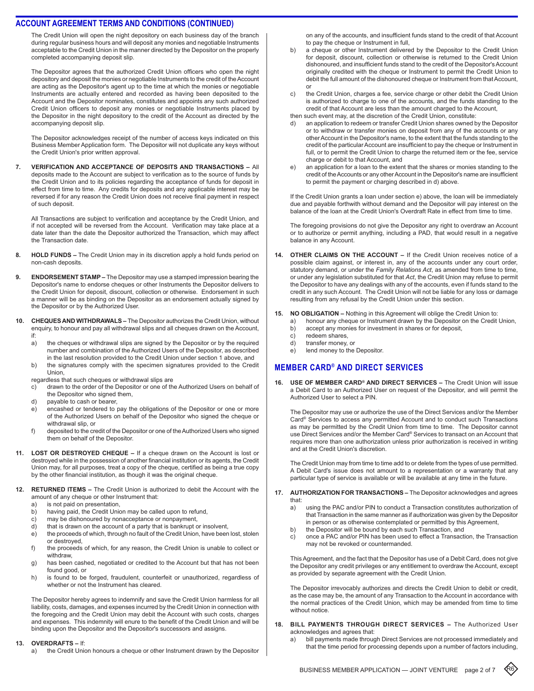The Credit Union will open the night depository on each business day of the branch during regular business hours and will deposit any monies and negotiable Instruments acceptable to the Credit Union in the manner directed by the Depositor on the properly completed accompanying deposit slip.

The Depositor agrees that the authorized Credit Union officers who open the night depository and deposit the monies or negotiable Instruments to the credit of the Account are acting as the Depositor's agent up to the time at which the monies or negotiable Instruments are actually entered and recorded as having been deposited to the Account and the Depositor nominates, constitutes and appoints any such authorized Credit Union officers to deposit any monies or negotiable Instruments placed by the Depositor in the night depository to the credit of the Account as directed by the accompanying deposit slip.

The Depositor acknowledges receipt of the number of access keys indicated on this Business Member Application form. The Depositor will not duplicate any keys without the Credit Union's prior written approval.

**7. Verification and Acceptance of Deposits and Transactions –** All deposits made to the Account are subject to verification as to the source of funds by the Credit Union and to its policies regarding the acceptance of funds for deposit in effect from time to time. Any credits for deposits and any applicable interest may be reversed if for any reason the Credit Union does not receive final payment in respect of such deposit.

All Transactions are subject to verification and acceptance by the Credit Union, and if not accepted will be reversed from the Account. Verification may take place at a date later than the date the Depositor authorized the Transaction, which may affect the Transaction date.

- 8. **HOLD FUNDS –** The Credit Union may in its discretion apply a hold funds period on non-cash deposits.
- **9. ENDORSEMENT STAMP –** The Depositor may use a stamped impression bearing the Depositor's name to endorse cheques or other Instruments the Depositor delivers to the Credit Union for deposit, discount, collection or otherwise. Endorsement in such a manner will be as binding on the Depositor as an endorsement actually signed by the Depositor or by the Authorized User.
- **10. Cheques and Withdrawals** The Depositor authorizes the Credit Union, without enquiry, to honour and pay all withdrawal slips and all cheques drawn on the Account, if:
	- a) the cheques or withdrawal slips are signed by the Depositor or by the required number and combination of the Authorized Users of the Depositor, as described in the last resolution provided to the Credit Union under section 1 above, and
	- b) the signatures comply with the specimen signatures provided to the Credit Union,

regardless that such cheques or withdrawal slips are

- c) drawn to the order of the Depositor or one of the Authorized Users on behalf of the Depositor who signed them,
- d) payable to cash or bearer,
- e) encashed or tendered to pay the obligations of the Depositor or one or more of the Authorized Users on behalf of the Depositor who signed the cheque or withdrawal slip, or
- f) deposited to the credit of the Depositor or one of the Authorized Users who signed them on behalf of the Depositor.
- **11. Lost or Destroyed Cheque** If a cheque drawn on the Account is lost or destroyed while in the possession of another financial institution or its agents, the Credit Union may, for all purposes, treat a copy of the cheque, certified as being a true copy by the other financial institution, as though it was the original cheque.
- **12. RETURNED ITEMS The Credit Union is authorized to debit the Account with the** amount of any cheque or other Instrument that:
	-
	- a) is not paid on presentation,<br>b) having paid, the Credit Union having paid, the Credit Union may be called upon to refund,
	- c) may be dishonoured by nonacceptance or nonpayment,
	- d) that is drawn on the account of a party that is bankrupt or insolvent,
	- e) the proceeds of which, through no fault of the Credit Union, have been lost, stolen or destroyed,
	- f) the proceeds of which, for any reason, the Credit Union is unable to collect or withdraw,
	- g) has been cashed, negotiated or credited to the Account but that has not been found good, or
	- h) is found to be forged, fraudulent, counterfeit or unauthorized, regardless of whether or not the Instrument has cleared.

The Depositor hereby agrees to indemnify and save the Credit Union harmless for all liability, costs, damages, and expenses incurred by the Credit Union in connection with the foregoing and the Credit Union may debit the Account with such costs, charges and expenses. This indemnity will enure to the benefit of the Credit Union and will be binding upon the Depositor and the Depositor's successors and assigns.

#### **13. Overdrafts –** If:

a) the Credit Union honours a cheque or other Instrument drawn by the Depositor

on any of the accounts, and insufficient funds stand to the credit of that Account to pay the cheque or Instrument in full,

- b) a cheque or other Instrument delivered by the Depositor to the Credit Union for deposit, discount, collection or otherwise is returned to the Credit Union dishonoured, and insufficient funds stand to the credit of the Depositor's Account originally credited with the cheque or Instrument to permit the Credit Union to debit the full amount of the dishonoured cheque or Instrument from that Account, or
- the Credit Union, charges a fee, service charge or other debit the Credit Union is authorized to charge to one of the accounts, and the funds standing to the credit of that Account are less than the amount charged to the Account, then such event may, at the discretion of the Credit Union, constitute:
- d) an application to redeem or transfer Credit Union shares owned by the Depositor or to withdraw or transfer monies on deposit from any of the accounts or any other Account in the Depositor's name, to the extent that the funds standing to the credit of the particular Account are insufficient to pay the cheque or Instrument in full, or to permit the Credit Union to charge the returned item or the fee, service
- charge or debit to that Account, and e) an application for a loan to the extent that the shares or monies standing to the credit of the Accounts or any other Account in the Depositor's name are insufficient to permit the payment or charging described in d) above.

If the Credit Union grants a loan under section e) above, the loan will be immediately due and payable forthwith without demand and the Depositor will pay interest on the balance of the loan at the Credit Union's Overdraft Rate in effect from time to time.

The foregoing provisions do not give the Depositor any right to overdraw an Account or to authorize or permit anything, including a PAD, that would result in a negative balance in any Account.

- **14. Other Claims on the Account** If the Credit Union receives notice of a possible claim against, or interest in, any of the accounts under any court order, statutory demand, or under the *Family Relations Act*, as amended from time to time, or under any legislation substituted for that *Act*, the Credit Union may refuse to permit the Depositor to have any dealings with any of the accounts, even if funds stand to the credit in any such Account. The Credit Union will not be liable for any loss or damage resulting from any refusal by the Credit Union under this section.
- **15. No Obligation** Nothing in this Agreement will oblige the Credit Union to:
	- a) honour any cheque or Instrument drawn by the Depositor on the Credit Union,
	- b) accept any monies for investment in shares or for deposit, c) redeem shares,
	- redeem shares.
	- d) transfer money, or
	- e) lend money to the Depositor.

## **MEMBER Card® and direct services**

**16. Use of Member Card® and Direct Services –** The Credit Union will issue a Debit Card to an Authorized User on request of the Depositor, and will permit the Authorized User to select a PIN.

The Depositor may use or authorize the use of the Direct Services and/or the Member Card® Services to access any permitted Account and to conduct such Transactions as may be permitted by the Credit Union from time to time. The Depositor cannot use Direct Services and/or the Member Card® Services to transact on an Account that requires more than one authorization unless prior authorization is received in writing and at the Credit Union's discretion.

The Credit Union may from time to time add to or delete from the types of use permitted. A Debit Card's issue does not amount to a representation or a warranty that any particular type of service is available or will be available at any time in the future.

#### **17. Authorization for Transactions –** The Depositor acknowledges and agrees that:

- a) using the PAC and/or PIN to conduct a Transaction constitutes authorization of that Transaction in the same manner as if authorization was given by the Depositor in person or as otherwise contemplated or permitted by this Agreement,
- b) the Depositor will be bound by each such Transaction, and
- c) once a PAC and/or PIN has been used to effect a Transaction, the Transaction may not be revoked or countermanded.

This Agreement, and the fact that the Depositor has use of a Debit Card, does not give the Depositor any credit privileges or any entitlement to overdraw the Account, except as provided by separate agreement with the Credit Union.

The Depositor irrevocably authorizes and directs the Credit Union to debit or credit, as the case may be, the amount of any Transaction to the Account in accordance with the normal practices of the Credit Union, which may be amended from time to time without notice.

- **18. Bill Payments through Direct Services** The Authorized User acknowledges and agrees that:
	- a) bill payments made through Direct Services are not processed immediately and that the time period for processing depends upon a number of factors including,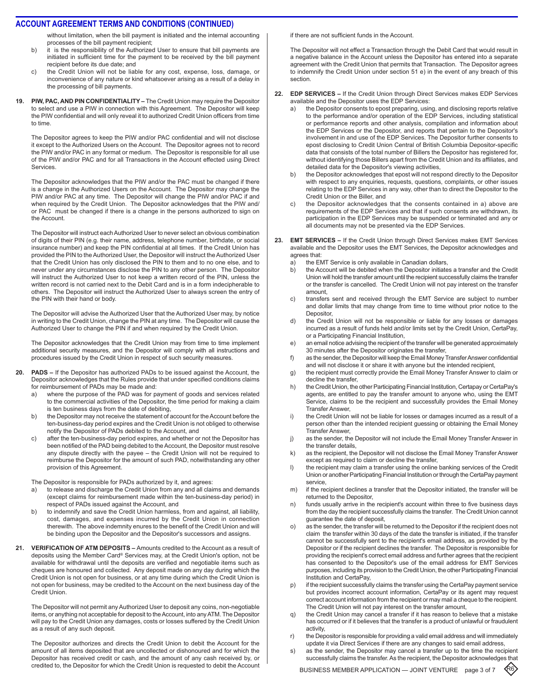without limitation, when the bill payment is initiated and the internal accounting processes of the bill payment recipient;

- b) it is the responsibility of the Authorized User to ensure that bill payments are initiated in sufficient time for the payment to be received by the bill payment recipient before its due date; and
- c) the Credit Union will not be liable for any cost, expense, loss, damage, or inconvenience of any nature or kind whatsoever arising as a result of a delay in the processing of bill payments.
- **PIW, PAC, AND PIN CONFIDENTIALITY The Credit Union may require the Depositor** to select and use a PIW in connection with this Agreement. The Depositor will keep the PIW confidential and will only reveal it to authorized Credit Union officers from time to time.

The Depositor agrees to keep the PIW and/or PAC confidential and will not disclose it except to the Authorized Users on the Account. The Depositor agrees not to record the PIW and/or PAC in any format or medium. The Depositor is responsible for all use of the PIW and/or PAC and for all Transactions in the Account effected using Direct Services.

The Depositor acknowledges that the PIW and/or the PAC must be changed if there is a change in the Authorized Users on the Account. The Depositor may change the PIW and/or PAC at any time. The Depositor will change the PIW and/or PAC if and when required by the Credit Union. The Depositor acknowledges that the PIW and/ or PAC must be changed if there is a change in the persons authorized to sign on the Account.

The Depositor will instruct each Authorized User to never select an obvious combination of digits of their PIN (e.g. their name, address, telephone number, birthdate, or social insurance number) and keep the PIN confidential at all times. If the Credit Union has provided the PIN to the Authorized User, the Depositor will instruct the Authorized User that the Credit Union has only disclosed the PIN to them and to no one else, and to never under any circumstances disclose the PIN to any other person. The Depositor will instruct the Authorized User to not keep a written record of the PIN, unless the written record is not carried next to the Debit Card and is in a form indecipherable to others. The Depositor will instruct the Authorized User to always screen the entry of the PIN with their hand or body.

The Depositor will advise the Authorized User that the Authorized User may, by notice in writing to the Credit Union, change the PIN at any time. The Depositor will cause the Authorized User to change the PIN if and when required by the Credit Union.

The Depositor acknowledges that the Credit Union may from time to time implement additional security measures, and the Depositor will comply with all instructions and procedures issued by the Credit Union in respect of such security measures.

- **20. PADs** If the Depositor has authorized PADs to be issued against the Account, the Depositor acknowledges that the Rules provide that under specified conditions claims for reimbursement of PADs may be made and:
	- a) where the purpose of the PAD was for payment of goods and services related to the commercial activities of the Depositor, the time period for making a claim is ten business days from the date of debiting,
	- b) the Depositor may not receive the statement of account for the Account before the ten-business-day period expires and the Credit Union is not obliged to otherwise notify the Depositor of PADs debited to the Account, and
	- c) after the ten-business-day period expires, and whether or not the Depositor has been notified of the PAD being debited to the Account, the Depositor must resolve any dispute directly with the payee – the Credit Union will not be required to reimburse the Depositor for the amount of such PAD, notwithstanding any other provision of this Agreement.

The Depositor is responsible for PADs authorized by it, and agrees:

- to release and discharge the Credit Union from any and all claims and demands (except claims for reimbursement made within the ten-business-day period) in respect of PADs issued against the Account, and
- b) to indemnify and save the Credit Union harmless, from and against, all liability, cost, damages, and expenses incurred by the Credit Union in connection therewith. The above indemnity enures to the benefit of the Credit Union and will be binding upon the Depositor and the Depositor's successors and assigns.
- **21. Verification of ATM Deposits** Amounts credited to the Account as a result of deposits using the Member Card® Services may, at the Credit Union's option, not be available for withdrawal until the deposits are verified and negotiable items such as cheques are honoured and collected. Any deposit made on any day during which the Credit Union is not open for business, or at any time during which the Credit Union is not open for business, may be credited to the Account on the next business day of the Credit Union.

The Depositor will not permit any Authorized User to deposit any coins, non-negotiable items, or anything not acceptable for deposit to the Account, into any ATM. The Depositor will pay to the Credit Union any damages, costs or losses suffered by the Credit Union as a result of any such deposit.

The Depositor authorizes and directs the Credit Union to debit the Account for the amount of all items deposited that are uncollected or dishonoured and for which the Depositor has received credit or cash, and the amount of any cash received by, or credited to, the Depositor for which the Credit Union is requested to debit the Account if there are not sufficient funds in the Account.

The Depositor will not effect a Transaction through the Debit Card that would result in a negative balance in the Account unless the Depositor has entered into a separate agreement with the Credit Union that permits that Transaction. The Depositor agrees to indemnify the Credit Union under section 51 e) in the event of any breach of this section.

- **22. EDP Services** If the Credit Union through Direct Services makes EDP Services available and the Depositor uses the EDP Services:
	- a) the Depositor consents to epost preparing, using, and disclosing reports relative to the performance and/or operation of the EDP Services, including statistical or performance reports and other analysis, compilation and information about the EDP Services or the Depositor, and reports that pertain to the Depositor's involvement in and use of the EDP Services. The Depositor further consents to epost disclosing to Credit Union Central of British Columbia Depositor-specific data that consists of the total number of Billers the Depositor has registered for, without identifying those Billers apart from the Credit Union and its affiliates, and detailed data for the Depositor's viewing activities,
	- b) the Depositor acknowledges that epost will not respond directly to the Depositor with respect to any enquiries, requests, questions, complaints, or other issues relating to the EDP Services in any way, other than to direct the Depositor to the Credit Union or the Biller, and
	- c) the Depositor acknowledges that the consents contained in a) above are requirements of the EDP Services and that if such consents are withdrawn, its participation in the EDP Services may be suspended or terminated and any or all documents may not be presented via the EDP Services.
- **23. EMT Services** If the Credit Union through Direct Services makes EMT Services available and the Depositor uses the EMT Services, the Depositor acknowledges and
	- agrees that:<br>a) the El the EMT Service is only available in Canadian dollars,
	- b) the Account will be debited when the Depositor initiates a transfer and the Credit Union will hold the transfer amount until the recipient successfully claims the transfer or the transfer is cancelled. The Credit Union will not pay interest on the transfer amount,
	- c) transfers sent and received through the EMT Service are subject to number and dollar limits that may change from time to time without prior notice to the Depositor,
	- d) the Credit Union will not be responsible or liable for any losses or damages incurred as a result of funds held and/or limits set by the Credit Union, CertaPay, or a Participating Financial Institution,
	- e) an email notice advising the recipient of the transfer will be generated approximately 30 minutes after the Depositor originates the transfer,
	- f) as the sender, the Depositor will keep the Email Money Transfer Answer confidential and will not disclose it or share it with anyone but the intended recipient,
	- g) the recipient must correctly provide the Email Money Transfer Answer to claim or decline the transfer,
	- h) the Credit Union, the other Participating Financial Institution, Certapay or CertaPay's agents, are entitled to pay the transfer amount to anyone who, using the EMT Service, claims to be the recipient and successfully provides the Email Money Transfer Answer,
	- i) the Credit Union will not be liable for losses or damages incurred as a result of a person other than the intended recipient guessing or obtaining the Email Money Transfer Answer,
	- j) as the sender, the Depositor will not include the Email Money Transfer Answer in the transfer details,
	- k) as the recipient, the Depositor will not disclose the Email Money Transfer Answer except as required to claim or decline the transfer,
	- l) the recipient may claim a transfer using the online banking services of the Credit Union or another Participating Financial Institution or through the CertaPay payment service,
	- m) if the recipient declines a transfer that the Depositor initiated, the transfer will be returned to the Depositor,
	- n) funds usually arrive in the recipient's account within three to five business days from the day the recipient successfully claims the transfer. The Credit Union cannot guarantee the date of deposit,
	- o) as the sender, the transfer will be returned to the Depositor if the recipient does not claim the transfer within 30 days of the date the transfer is initiated, if the transfer cannot be successfully sent to the recipient's email address, as provided by the Depositor or if the recipient declines the transfer. The Depositor is responsible for providing the recipient's correct email address and further agrees that the recipient has consented to the Depositor's use of the email address for EMT Services purposes, including its provision to the Credit Union, the other Participating Financial Institution and CertaPay,
	- p) if the recipient successfully claims the transfer using the CertaPay payment service but provides incorrect account information, CertaPay or its agent may request correct account information from the recipient or may mail a cheque to the recipient. The Credit Union will not pay interest on the transfer amount,
	- q) the Credit Union may cancel a transfer if it has reason to believe that a mistake has occurred or if it believes that the transfer is a product of unlawful or fraudulent activity,
	- r) the Depositor is responsible for providing a valid email address and will immediately update it via Direct Services if there are any changes to said email address,
	- s) as the sender, the Depositor may cancel a transfer up to the time the recipient successfully claims the transfer. As the recipient, the Depositor acknowledges that

BUSINESS MEMBER APPLICATION — JOINT VENTURE page 3 of 7  $\langle \mathcal{R}6 \rangle$ 

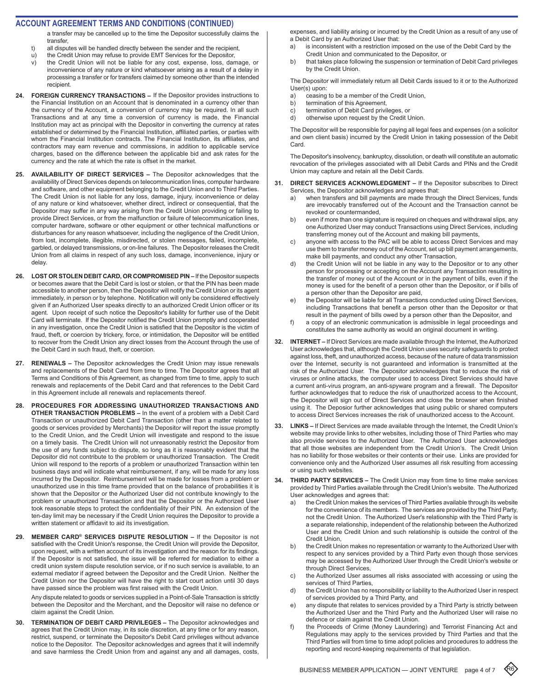#### **ACCOUNT AGREEMENT TERMS AND CONDITIONS (CONTINUED)**

a transfer may be cancelled up to the time the Depositor successfully claims the transfer,

- t) all disputes will be handled directly between the sender and the recipient,
- u) the Credit Union may refuse to provide EMT Services for the Depositor,
- v) the Credit Union will not be liable for any cost, expense, loss, damage, or inconvenience of any nature or kind whatsoever arising as a result of a delay in processing a transfer or for transfers claimed by someone other than the intended recipient.
- 24. FOREIGN CURRENCY TRANSACTIONS If the Depositor provides instructions to the Financial Institution on an Account that is denominated in a currency other than the currency of the Account, a conversion of currency may be required. In all such Transactions and at any time a conversion of currency is made, the Financial Institution may act as principal with the Depositor in converting the currency at rates established or determined by the Financial Institution, affiliated parties, or parties with whom the Financial Institution contracts. The Financial Institution, its affiliates, and contractors may earn revenue and commissions, in addition to applicable service charges, based on the difference between the applicable bid and ask rates for the currency and the rate at which the rate is offset in the market.
- **25. AVAILABILITY OF DIRECT SERVICES** The Depositor acknowledges that the availability of Direct Services depends on telecommunication lines, computer hardware and software, and other equipment belonging to the Credit Union and to Third Parties. The Credit Union is not liable for any loss, damage, injury, inconvenience or delay of any nature or kind whatsoever, whether direct, indirect or consequential, that the Depositor may suffer in any way arising from the Credit Union providing or failing to provide Direct Services, or from the malfunction or failure of telecommunication lines, computer hardware, software or other equipment or other technical malfunctions or disturbances for any reason whatsoever, including the negligence of the Credit Union, from lost, incomplete, illegible, misdirected, or stolen messages, failed, incomplete, garbled, or delayed transmissions, or on-line failures. The Depositor releases the Credit Union from all claims in respect of any such loss, damage, inconvenience, injury or delay.
- **26. LOST OR STOLEN DEBIT CARD, OR COMPROMISED PIN** If the Depositor suspects or becomes aware that the Debit Card is lost or stolen, or that the PIN has been made accessible to another person, then the Depositor will notify the Credit Union or its agent immediately, in person or by telephone. Notification will only be considered effectively given if an Authorized User speaks directly to an authorized Credit Union officer or its agent. Upon receipt of such notice the Depositor's liability for further use of the Debit Card will terminate. If the Depositor notified the Credit Union promptly and cooperated in any investigation, once the Credit Union is satisfied that the Depositor is the victim of fraud, theft, or coercion by trickery, force, or intimidation, the Depositor will be entitled to recover from the Credit Union any direct losses from the Account through the use of the Debit Card in such fraud, theft, or coercion.
- **27. RENEWALS** The Depositor acknowledges the Credit Union may issue renewals and replacements of the Debit Card from time to time. The Depositor agrees that all Terms and Conditions of this Agreement, as changed from time to time, apply to such renewals and replacements of the Debit Card and that references to the Debit Card in this Agreement include all renewals and replacements thereof.
- **28. PROCEDURES FOR ADDRESSING UNAUTHORIZED TRANSACTIONS AND OTHER TRANSACTION PROBLEMS –** In the event of a problem with a Debit Card Transaction or unauthorized Debit Card Transaction (other than a matter related to goods or services provided by Merchants) the Depositor will report the issue promptly to the Credit Union, and the Credit Union will investigate and respond to the issue on a timely basis. The Credit Union will not unreasonably restrict the Depositor from the use of any funds subject to dispute, so long as it is reasonably evident that the Depositor did not contribute to the problem or unauthorized Transaction. The Credit Union will respond to the reports of a problem or unauthorized Transaction within ten business days and will indicate what reimbursement, if any, will be made for any loss incurred by the Depositor. Reimbursement will be made for losses from a problem or unauthorized use in this time frame provided that on the balance of probabilities it is shown that the Depositor or the Authorized User did not contribute knowingly to the problem or unauthorized Transaction and that the Depositor or the Authorized User took reasonable steps to protect the confidentiality of their PIN. An extension of the ten-day limit may be necessary if the Credit Union requires the Depositor to provide a written statement or affidavit to aid its investigation.
- **29. MEMBER CARD® SERVICES DISPUTE RESOLUTION** If the Depositor is not satisfied with the Credit Union's response, the Credit Union will provide the Depositor, upon request, with a written account of its investigation and the reason for its findings. If the Depositor is not satisfied, the issue will be referred for mediation to either a credit union system dispute resolution service, or if no such service is available, to an external mediator if agreed between the Depositor and the Credit Union. Neither the Credit Union nor the Depositor will have the right to start court action until 30 days have passed since the problem was first raised with the Credit Union.

Any dispute related to goods or services supplied in a Point-of-Sale Transaction is strictly between the Depositor and the Merchant, and the Depositor will raise no defence or claim against the Credit Union.

**30. TERMINATION OF DEBIT CARD PRIVILEGES –** The Depositor acknowledges and agrees that the Credit Union may, in its sole discretion, at any time or for any reason, restrict, suspend, or terminate the Depositor's Debit Card privileges without advance notice to the Depositor. The Depositor acknowledges and agrees that it will indemnify and save harmless the Credit Union from and against any and all damages, costs,

expenses, and liability arising or incurred by the Credit Union as a result of any use of a Debit Card by an Authorized User that:

- a) is inconsistent with a restriction imposed on the use of the Debit Card by the Credit Union and communicated to the Depositor, or
- b) that takes place following the suspension or termination of Debit Card privileges by the Credit Union.

The Depositor will immediately return all Debit Cards issued to it or to the Authorized User(s) upon:

- a) ceasing to be a member of the Credit Union,
- b) termination of this Agreement,
- c) termination of Debit Card privileges, or
- d) otherwise upon request by the Credit Union.

The Depositor will be responsible for paying all legal fees and expenses (on a solicitor and own client basis) incurred by the Credit Union in taking possession of the Debit Card.

The Depositor's insolvency, bankruptcy, dissolution, or death will constitute an automatic revocation of the privileges associated with all Debit Cards and PINs and the Credit Union may capture and retain all the Debit Cards.

- **31. DIRECT SERVICES ACKNOWLEDGMENT** If the Depositor subscribes to Direct Services, the Depositor acknowledges and agrees that:
	- a) when transfers and bill payments are made through the Direct Services, funds are irrevocably transferred out of the Account and the Transaction cannot be revoked or countermanded,
	- b) even if more than one signature is required on cheques and withdrawal slips, any one Authorized User may conduct Transactions using Direct Services, including transferring money out of the Account and making bill payments,
	- c) anyone with access to the PAC will be able to access Direct Services and may use them to transfer money out of the Account, set up bill payment arrangements, make bill payments, and conduct any other Transaction,
	- d) the Credit Union will not be liable in any way to the Depositor or to any other person for processing or accepting on the Account any Transaction resulting in the transfer of money out of the Account or in the payment of bills, even if the money is used for the benefit of a person other than the Depositor, or if bills of a person other than the Depositor are paid,
	- e) the Depositor will be liable for all Transactions conducted using Direct Services, including Transactions that benefit a person other than the Depositor or that result in the payment of bills owed by a person other than the Depositor, and
	- f) a copy of an electronic communication is admissible in legal proceedings and constitutes the same authority as would an original document in writing.
- **32. INTERNET** If Direct Services are made available through the Internet, the Authorized User acknowledges that, although the Credit Union uses security safeguards to protect against loss, theft, and unauthorized access, because of the nature of data transmission over the Internet, security is not guaranteed and information is transmitted at the risk of the Authorized User. The Depositor acknowledges that to reduce the risk of viruses or online attacks, the computer used to access Direct Services should have a current anti-virus program, an anti-spyware program and a firewall. The Depositor further acknowledges that to reduce the risk of unauthorized access to the Account, the Depositor will sign out of Direct Services and close the browser when finished using it. The Deposior further acknowledges that using public or shared computers to access Direct Services increases the risk of unauthorized access to the Account.
- **33. LINKS** If Direct Services are made available through the Internet, the Credit Union's website may provide links to other websites, including those of Third Parties who may also provide services to the Authorized User. The Authorized User acknowledges that all those websites are independent from the Credit Union's. The Credit Union has no liability for those websites or their contents or their use. Links are provided for convenience only and the Authorized User assumes all risk resulting from accessing or using such websites.
- **34. THIRD PARTY SERVICES** The Credit Union may from time to time make services provided by Third Parties available through the Credit Union's website. The Authorized User acknowledges and agrees that:
	- a) the Credit Union makes the services of Third Parties available through its website for the convenience of its members. The services are provided by the Third Party, not the Credit Union. The Authorized User's relationship with the Third Party is a separate relationship, independent of the relationship between the Authorized User and the Credit Union and such relationship is outside the control of the Credit Union,
	- b) the Credit Union makes no representation or warranty to the Authorized User with respect to any services provided by a Third Party even though those services may be accessed by the Authorized User through the Credit Union's website or through Direct Services,
	- c) the Authorized User assumes all risks associated with accessing or using the services of Third Parties,
	- d) the Credit Union has no responsibility or liability to the Authorized User in respect of services provided by a Third Party, and
	- e) any dispute that relates to services provided by a Third Party is strictly between the Authorized User and the Third Party and the Authorized User will raise no defence or claim against the Credit Union.
	- f) the Proceeds of Crime (Money Laundering) and Terrorist Financing Act and Regulations may apply to the services provided by Third Parties and that the Third Parties will from time to time adopt policies and procedures to address the reporting and record-keeping requirements of that legislation.

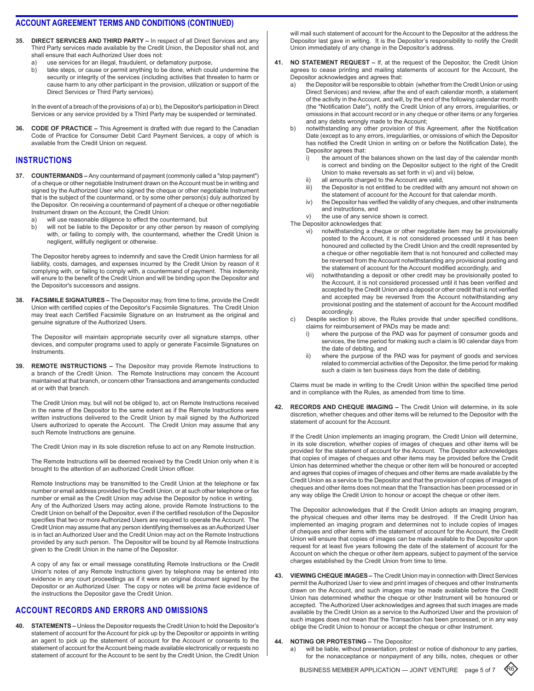- **35. Direct Services and Third Party** In respect of all Direct Services and any Third Party services made available by the Credit Union, the Depositor shall not, and shall ensure that each Authorized User does not:
	- a) use services for an illegal, fraudulent, or defamatory purpose,
	- b) take steps, or cause or permit anything to be done, which could undermine the security or integrity of the services (including activities that threaten to harm or cause harm to any other participant in the provision, utilization or support of the Direct Services or Third Party services).

In the event of a breach of the provisions of a) or b), the Depositor's participation in Direct Services or any service provided by a Third Party may be suspended or terminated.

**36. Code of Practice –** This Agreement is drafted with due regard to the Canadian Code of Practice for Consumer Debit Card Payment Services, a copy of which is available from the Credit Union on request.

## **instructions**

- **37. COUNTERMANDS –** Any countermand of payment (commonly called a "stop payment") of a cheque or other negotiable Instrument drawn on the Account must be in writing and signed by the Authorized User who signed the cheque or other negotiable Instrument that is the subject of the countermand, or by some other person(s) duly authorized by the Depositor. On receiving a countermand of payment of a cheque or other negotiable Instrument drawn on the Account, the Credit Union:
	- a) will use reasonable diligence to effect the countermand, but
	- b) will not be liable to the Depositor or any other person by reason of complying with, or failing to comply with, the countermand, whether the Credit Union is negligent, willfully negligent or otherwise.

The Depositor hereby agrees to indemnify and save the Credit Union harmless for all liability, costs, damages, and expenses incurred by the Credit Union by reason of it complying with, or failing to comply with, a countermand of payment. This indemnity will enure to the benefit of the Credit Union and will be binding upon the Depositor and the Depositor's successors and assigns.

**38. Facsimile Signatures –** The Depositor may, from time to time, provide the Credit Union with certified copies of the Depositor's Facsimile Signatures. The Credit Union may treat each Certified Facsimile Signature on an Instrument as the original and genuine signature of the Authorized Users.

The Depositor will maintain appropriate security over all signature stamps, other devices, and computer programs used to apply or generate Facsimile Signatures on Instruments.

**39. Remote Instructions –** The Depositor may provide Remote Instructions to a branch of the Credit Union. The Remote Instructions may concern the Account maintained at that branch, or concern other Transactions and arrangements conducted at or with that branch.

The Credit Union may, but will not be obliged to, act on Remote Instructions received in the name of the Depositor to the same extent as if the Remote Instructions were written instructions delivered to the Credit Union by mail signed by the Authorized Users authorized to operate the Account. The Credit Union may assume that any such Remote Instructions are genuine.

The Credit Union may in its sole discretion refuse to act on any Remote Instruction.

The Remote Instructions will be deemed received by the Credit Union only when it is brought to the attention of an authorized Credit Union officer.

Remote Instructions may be transmitted to the Credit Union at the telephone or fax number or email address provided by the Credit Union, or at such other telephone or fax number or email as the Credit Union may advise the Depositor by notice in writing. Any of the Authorized Users may acting alone, provide Remote Instructions to the Credit Union on behalf of the Depositor, even if the certified resolution of the Depositor specifies that two or more Authorized Users are required to operate the Account. The Credit Union may assume that any person identifying themselves as an Authorized User is in fact an Authorized User and the Credit Union may act on the Remote Instructions provided by any such person. The Depositor will be bound by all Remote Instructions given to the Credit Union in the name of the Depositor.

A copy of any fax or email message constituting Remote Instructions or the Credit Union's notes of any Remote Instructions given by telephone may be entered into evidence in any court proceedings as if it were an original document signed by the Depositor or an Authorized User. The copy or notes will be *prima facie* evidence of the instructions the Depositor gave the Credit Union.

## **account records and errors and omissions**

**40. Statements –** Unless the Depositor requests the Credit Union to hold the Depositor's statement of account for the Account for pick up by the Depositor or appoints in writing an agent to pick up the statement of account for the Account or consents to the statement of account for the Account being made available electronically or requests no statement of account for the Account to be sent by the Credit Union, the Credit Union will mail such statement of account for the Account to the Depositor at the address the Depositor last gave in writing. It is the Depositor's responsibility to notify the Credit Union immediately of any change in the Depositor's address.

- **41. No Statement Request** If, at the request of the Depositor, the Credit Union agrees to cease printing and mailing statements of account for the Account, the Depositor acknowledges and agrees that:
	- a) the Depositor will be responsible to obtain (whether from the Credit Union or using Direct Services) and review, after the end of each calendar month, a statement of the activity in the Account, and will, by the end of the following calendar month (the "Notification Date"), notify the Credit Union of any errors, irregularities, or omissions in that account record or in any cheque or other items or any forgeries and any debits wrongly made to the Account;
	- notwithstanding any other provision of this Agreement, after the Notification Date (except as to any errors, irregularities, or omissions of which the Depositor has notified the Credit Union in writing on or before the Notification Date), the Depositor agrees that:
		- i) the amount of the balances shown on the last day of the calendar month is correct and binding on the Depositor subject to the right of the Credit Union to make reversals as set forth in vi) and vii) below,
		- ii) all amounts charged to the Account are valid,<br>iii) the Depositor is not entitled to be credited with
		- the Depositor is not entitled to be credited with any amount not shown on the statement of account for the Account for that calendar month.
		- iv) the Depositor has verified the validity of any cheques, and other instruments and instructions, and

v) the use of any service shown is correct.

The Depositor acknowledges that:

- vi) notwithstanding a cheque or other negotiable item may be provisionally posted to the Account, it is not considered processed until it has been honoured and collected by the Credit Union and the credit represented by a cheque or other negotiable item that is not honoured and collected may be reversed from the Account notwithstanding any provisional posting and the statement of account for the Account modified accordingly, and
- vii) notwithstanding a deposit or other credit may be provisionally posted to the Account, it is not considered processed until it has been verified and accepted by the Credit Union and a deposit or other credit that is not verified and accepted may be reversed from the Account notwithstanding any provisional posting and the statement of account for the Account modified accordingly.
- c) Despite section b) above, the Rules provide that under specified conditions, claims for reimbursement of PADs may be made and:
	- i) where the purpose of the PAD was for payment of consumer goods and services, the time period for making such a claim is 90 calendar days from the date of debiting, and
	- ii) where the purpose of the PAD was for payment of goods and services related to commercial activities of the Depositor, the time period for making such a claim is ten business days from the date of debiting.

Claims must be made in writing to the Credit Union within the specified time period and in compliance with the Rules, as amended from time to time.

**42. Records and Cheque Imaging –** The Credit Union will determine, in its sole discretion, whether cheques and other items will be returned to the Depositor with the statement of account for the Account.

If the Credit Union implements an imaging program, the Credit Union will determine, in its sole discretion, whether copies of images of cheques and other items will be provided for the statement of account for the Account. The Depositor acknowledges that copies of images of cheques and other items may be provided before the Credit Union has determined whether the cheque or other item will be honoured or accepted and agrees that copies of images of cheques and other items are made available by the Credit Union as a service to the Depositor and that the provision of copies of images of cheques and other items does not mean that the Transaction has been processed or in any way oblige the Credit Union to honour or accept the cheque or other item.

The Depositor acknowledges that if the Credit Union adopts an imaging program, the physical cheques and other items may be destroyed. If the Credit Union has implemented an imaging program and determines not to include copies of images of cheques and other items with the statement of account for the Account, the Credit Union will ensure that copies of images can be made available to the Depositor upon request for at least five years following the date of the statement of account for the Account on which the cheque or other item appears, subject to payment of the service charges established by the Credit Union from time to time.

- **43. Viewing Cheque Images** The Credit Union may in connection with Direct Services permit the Authorized User to view and print images of cheques and other Instruments drawn on the Account, and such images may be made available before the Credit Union has determined whether the cheque or other Instrument will be honoured or accepted. The Authorized User acknowledges and agrees that such images are made available by the Credit Union as a service to the Authorized User and the provision of such images does not mean that the Transaction has been processed, or in any way oblige the Credit Union to honour or accept the cheque or other Instrument.
- **44. Noting or Protesting** The Depositor:
	- a) will be liable, without presentation, protest or notice of dishonour to any parties, for the nonacceptance or nonpayment of any bills, notes, cheques or other

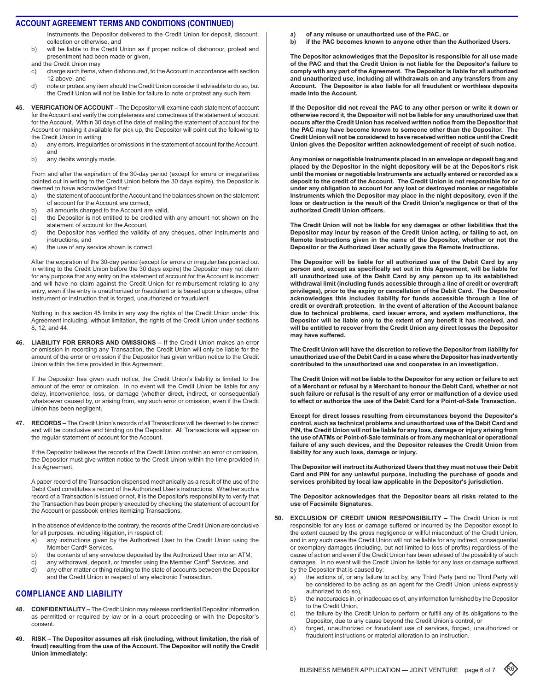Instruments the Depositor delivered to the Credit Union for deposit, discount, collection or otherwise, and

b) will be liable to the Credit Union as if proper notice of dishonour, protest and presentment had been made or given,

and the Credit Union may

- c) charge such items, when dishonoured, to the Account in accordance with section 12 above, and
- d) note or protest any item should the Credit Union consider it advisable to do so, but the Credit Union will not be liable for failure to note or protest any such item.
- **45. Verification of Account** The Depositor will examine each statement of account for the Account and verify the completeness and correctness of the statement of account for the Account. Within 30 days of the date of mailing the statement of account for the Account or making it available for pick up, the Depositor will point out the following to the Credit Union in writing:
	- a) any errors, irregularities or omissions in the statement of account for the Account, and
	- b) any debits wrongly made.

From and after the expiration of the 30-day period (except for errors or irregularities pointed out in writing to the Credit Union before the 30 days expire), the Depositor is deemed to have acknowledged that:

- a) the statement of account for the Account and the balances shown on the statement of account for the Account are correct,
- b) all amounts charged to the Account are valid,
- c) the Depositor is not entitled to be credited with any amount not shown on the statement of account for the Account,
- d) the Depositor has verified the validity of any cheques, other Instruments and instructions, and
- e) the use of any service shown is correct.

After the expiration of the 30-day period (except for errors or irregularities pointed out in writing to the Credit Union before the 30 days expire) the Depositor may not claim for any purpose that any entry on the statement of account for the Account is incorrect and will have no claim against the Credit Union for reimbursement relating to any entry, even if the entry is unauthorized or fraudulent or is based upon a cheque, other Instrument or instruction that is forged, unauthorized or fraudulent.

Nothing in this section 45 limits in any way the rights of the Credit Union under this Agreement including, without limitation, the rights of the Credit Union under sections 8, 12, and 44.

**46. Liability for Errors and Omissions –** If the Credit Union makes an error or omission in recording any Transaction, the Credit Union will only be liable for the amount of the error or omission if the Depositor has given written notice to the Credit Union within the time provided in this Agreement.

If the Depositor has given such notice, the Credit Union's liability is limited to the amount of the error or omission. In no event will the Credit Union be liable for any delay, inconvenience, loss, or damage (whether direct, indirect, or consequential) whatsoever caused by, or arising from, any such error or omission, even if the Credit Union has been negligent.

**47. Records –** The Credit Union's records of all Transactions will be deemed to be correct and will be conclusive and binding on the Depositor. All Transactions will appear on the regular statement of account for the Account.

If the Depositor believes the records of the Credit Union contain an error or omission, the Depositor must give written notice to the Credit Union within the time provided in this Agreement.

A paper record of the Transaction dispensed mechanically as a result of the use of the Debit Card constitutes a record of the Authorized User's instructions. Whether such a record of a Transaction is issued or not, it is the Depositor's responsibility to verify that the Transaction has been properly executed by checking the statement of account for the Account or passbook entries itemizing Transactions.

In the absence of evidence to the contrary, the records of the Credit Union are conclusive for all purposes, including litigation, in respect of:

- a) any instructions given by the Authorized User to the Credit Union using the Member Card® Services,
- b) the contents of any envelope deposited by the Authorized User into an ATM,
- c) any withdrawal, deposit, or transfer using the Member Card® Services, and d) any other matter or thing relating to the state of accounts between the Depositor
- and the Credit Union in respect of any electronic Transaction.

# **compliance anD liability**

- **48. Confidentiality** The Credit Union may release confidential Depositor information as permitted or required by law or in a court proceeding or with the Depositor's consent.
- **49. Risk The Depositor assumes all risk (including, without limitation, the risk of fraud) resulting from the use of the Account. The Depositor will notify the Credit Union immediately:**
- **a) of any misuse or unauthorized use of the PAC, or**
- **b) if the PAC becomes known to anyone other than the Authorized Users.**

**The Depositor acknowledges that the Depositor is responsible for all use made of the PAC and that the Credit Union is not liable for the Depositor's failure to comply with any part of the Agreement. The Depositor is liable for all authorized and unauthorized use, including all withdrawals on and any transfers from any Account. The Depositor is also liable for all fraudulent or worthless deposits made into the Account.**

**If the Depositor did not reveal the PAC to any other person or write it down or otherwise record it, the Depositor will not be liable for any unauthorized use that occurs after the Credit Union has received written notice from the Depositor that the PAC may have become known to someone other than the Depositor. The Credit Union will not be considered to have received written notice until the Credit Union gives the Depositor written acknowledgement of receipt of such notice.**

**Any monies or negotiable Instruments placed in an envelope or deposit bag and placed by the Depositor in the night depository will be at the Depositor's risk until the monies or negotiable Instruments are actually entered or recorded as a deposit to the credit of the Account. The Credit Union is not responsible for or under any obligation to account for any lost or destroyed monies or negotiable Instruments which the Depositor may place in the night depository, even if the loss or destruction is the result of the Credit Union's negligence or that of the authorized Credit Union officers.**

**The Credit Union will not be liable for any damages or other liabilities that the Depositor may incur by reason of the Credit Union acting, or failing to act, on Remote Instructions given in the name of the Depositor, whether or not the Depositor or the Authorized User actually gave the Remote Instructions.**

**The Depositor will be liable for all authorized use of the Debit Card by any person and, except as specifically set out in this Agreement, will be liable for all unauthorized use of the Debit Card by any person up to its established withdrawal limit (including funds accessible through a line of credit or overdraft privileges), prior to the expiry or cancellation of the Debit Card. The Depositor acknowledges this includes liability for funds accessible through a line of credit or overdraft protection. In the event of alteration of the Account balance due to technical problems, card issuer errors, and system malfunctions, the Depositor will be liable only to the extent of any benefit it has received, and will be entitled to recover from the Credit Union any direct losses the Depositor may have suffered.**

**The Credit Union will have the discretion to relieve the Depositor from liability for unauthorized use of the Debit Card in a case where the Depositor has inadvertently contributed to the unauthorized use and cooperates in an investigation.**

**The Credit Union will not be liable to the Depositor for any action or failure to act of a Merchant or refusal by a Merchant to honour the Debit Card, whether or not such failure or refusal is the result of any error or malfunction of a device used to effect or authorize the use of the Debit Card for a Point-of-Sale Transaction.**

**Except for direct losses resulting from circumstances beyond the Depositor's control, such as technical problems and unauthorized use of the Debit Card and PIN, the Credit Union will not be liable for any loss, damage or injury arising from the use of ATMs or Point-of-Sale terminals or from any mechanical or operational failure of any such devices, and the Depositor releases the Credit Union from liability for any such loss, damage or injury.**

**The Depositor will instruct its Authorized Users that they must not use their Debit Card and PIN for any unlawful purpose, including the purchase of goods and services prohibited by local law applicable in the Depositor's jurisdiction.**

**The Depositor acknowledges that the Depositor bears all risks related to the use of Facsimile Signatures.**

- **50. Exclusion of Credit Union Responsibility** The Credit Union is not responsible for any loss or damage suffered or incurred by the Depositor except to the extent caused by the gross negligence or willful misconduct of the Credit Union, and in any such case the Credit Union will not be liable for any indirect, consequential or exemplary damages (including, but not limited to loss of profits) regardless of the cause of action and even if the Credit Union has been advised of the possibility of such damages. In no event will the Credit Union be liable for any loss or damage suffered by the Depositor that is caused by:
	- a) the actions of, or any failure to act by, any Third Party (and no Third Party will be considered to be acting as an agent for the Credit Union unless expressly authorized to do so),
	- b) the inaccuracies in, or inadequacies of, any information furnished by the Depositor to the Credit Union,
	- c) the failure by the Credit Union to perform or fulfill any of its obligations to the Depositor, due to any cause beyond the Credit Union's control, or
	- d) forged, unauthorized or fraudulent use of services, forged, unauthorized or fraudulent instructions or material alteration to an instruction.